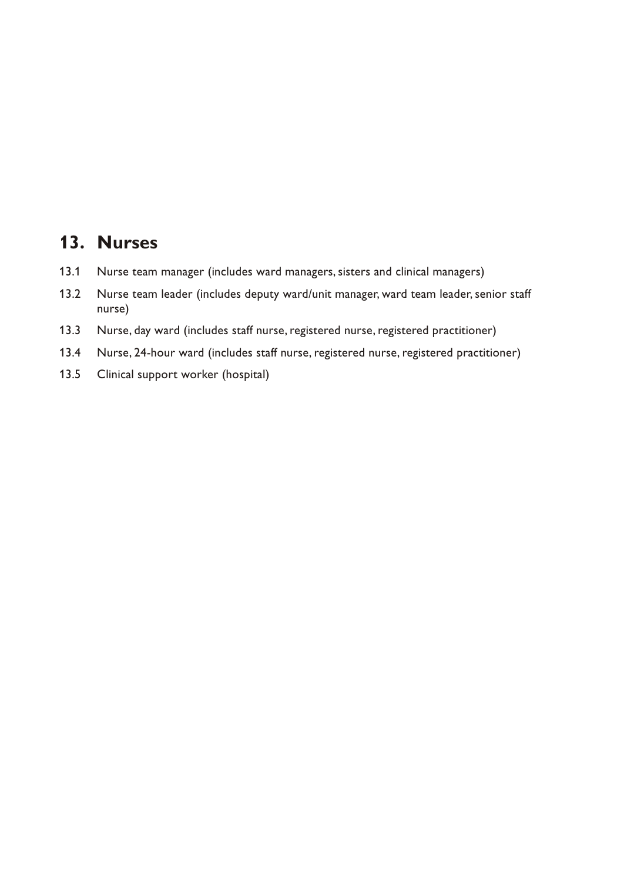# **13. Nurses**

- 13.1 Nurse team manager (includes ward managers, sisters and clinical managers)
- 13.2 Nurse team leader (includes deputy ward/unit manager, ward team leader, senior staff nurse)
- 13.3 Nurse, day ward (includes staff nurse, registered nurse, registered practitioner)
- 13.4 Nurse, 24-hour ward (includes staff nurse, registered nurse, registered practitioner)
- 13.5 Clinical support worker (hospital)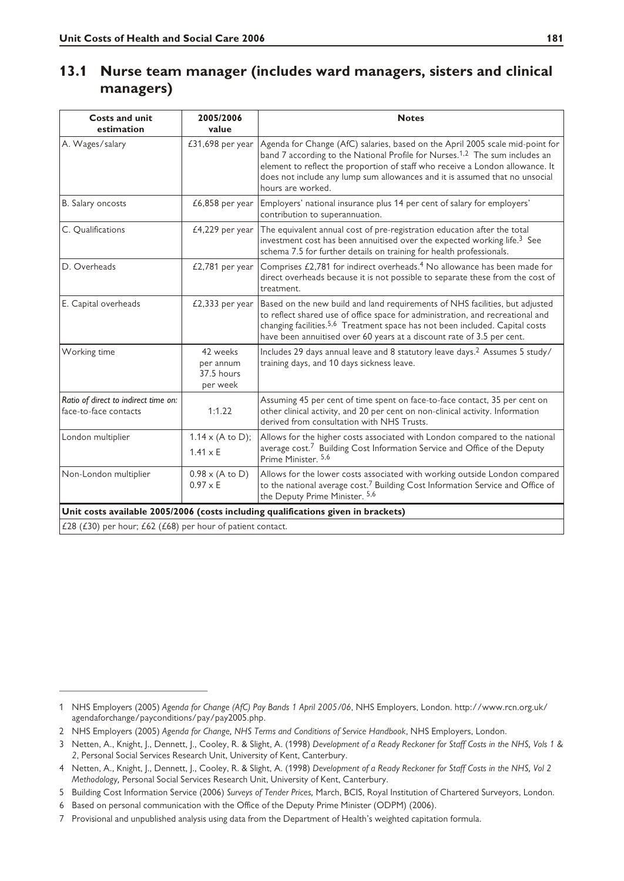## **13.1 Nurse team manager (includes ward managers, sisters and clinical managers)**

| <b>Costs and unit</b><br>estimation                                               | 2005/2006<br>value                                  | <b>Notes</b>                                                                                                                                                                                                                                                                                                                                                  |  |  |
|-----------------------------------------------------------------------------------|-----------------------------------------------------|---------------------------------------------------------------------------------------------------------------------------------------------------------------------------------------------------------------------------------------------------------------------------------------------------------------------------------------------------------------|--|--|
| A. Wages/salary                                                                   | £31,698 per year                                    | Agenda for Change (AfC) salaries, based on the April 2005 scale mid-point for<br>band 7 according to the National Profile for Nurses. <sup>1,2</sup> The sum includes an<br>element to reflect the proportion of staff who receive a London allowance. It<br>does not include any lump sum allowances and it is assumed that no unsocial<br>hours are worked. |  |  |
| B. Salary oncosts                                                                 | $£6,858$ per year                                   | Employers' national insurance plus 14 per cent of salary for employers'<br>contribution to superannuation.                                                                                                                                                                                                                                                    |  |  |
| C. Qualifications                                                                 | $£4,229$ per year                                   | The equivalent annual cost of pre-registration education after the total<br>investment cost has been annuitised over the expected working life. <sup>3</sup> See<br>schema 7.5 for further details on training for health professionals.                                                                                                                      |  |  |
| D. Overheads                                                                      | $£2,781$ per year                                   | Comprises £2,781 for indirect overheads. <sup>4</sup> No allowance has been made for<br>direct overheads because it is not possible to separate these from the cost of<br>treatment.                                                                                                                                                                          |  |  |
| E. Capital overheads                                                              | $£2,333$ per year                                   | Based on the new build and land requirements of NHS facilities, but adjusted<br>to reflect shared use of office space for administration, and recreational and<br>changing facilities. <sup>5,6</sup> Treatment space has not been included. Capital costs<br>have been annuitised over 60 years at a discount rate of 3.5 per cent.                          |  |  |
| Working time                                                                      | 42 weeks<br>per annum<br>37.5 hours<br>per week     | Includes 29 days annual leave and 8 statutory leave days. <sup>2</sup> Assumes 5 study/<br>training days, and 10 days sickness leave.                                                                                                                                                                                                                         |  |  |
| Ratio of direct to indirect time on:<br>face-to-face contacts                     | 1:1.22                                              | Assuming 45 per cent of time spent on face-to-face contact, 35 per cent on<br>other clinical activity, and 20 per cent on non-clinical activity. Information<br>derived from consultation with NHS Trusts.                                                                                                                                                    |  |  |
| London multiplier                                                                 | $1.14 \times (A \text{ to } D);$<br>$1.41 \times E$ | Allows for the higher costs associated with London compared to the national<br>average cost. <sup>7</sup> Building Cost Information Service and Office of the Deputy<br>Prime Minister, 5,6                                                                                                                                                                   |  |  |
| Non-London multiplier                                                             | $0.98 \times (A \text{ to } D)$<br>$0.97 \times E$  | Allows for the lower costs associated with working outside London compared<br>to the national average cost. <sup>7</sup> Building Cost Information Service and Office of<br>the Deputy Prime Minister. 5,6                                                                                                                                                    |  |  |
| Unit costs available 2005/2006 (costs including qualifications given in brackets) |                                                     |                                                                                                                                                                                                                                                                                                                                                               |  |  |
| £28 (£30) per hour; £62 (£68) per hour of patient contact.                        |                                                     |                                                                                                                                                                                                                                                                                                                                                               |  |  |

<sup>1</sup> NHS Employers (2005) *Agenda for Change (AfC) Pay Bands 1 April 2005/06*, NHS Employers, London. http://www.rcn.org.uk/ agendaforchange/payconditions/pay/pay2005.php.

<sup>2</sup> NHS Employers (2005) *Agenda for Change, NHS Terms and Conditions of Service Handbook*, NHS Employers, London.

<sup>3</sup> Netten, A., Knight, J., Dennett, J., Cooley, R. & Slight, A. (1998) *Development of a Ready Reckoner for Staff Costs in the NHS, Vols 1 & 2*, Personal Social Services Research Unit, University of Kent, Canterbury.

<sup>4</sup> Netten, A., Knight, J., Dennett, J., Cooley, R. & Slight, A. (1998) *Development of a Ready Reckoner for Staff Costs in the NHS, Vol 2 Methodology,* Personal Social Services Research Unit, University of Kent, Canterbury.

<sup>5</sup> Building Cost Information Service (2006) *Surveys of Tender Prices,* March, BCIS, Royal Institution of Chartered Surveyors, London.

<sup>6</sup> Based on personal communication with the Office of the Deputy Prime Minister (ODPM) (2006).

<sup>7</sup> Provisional and unpublished analysis using data from the Department of Health's weighted capitation formula.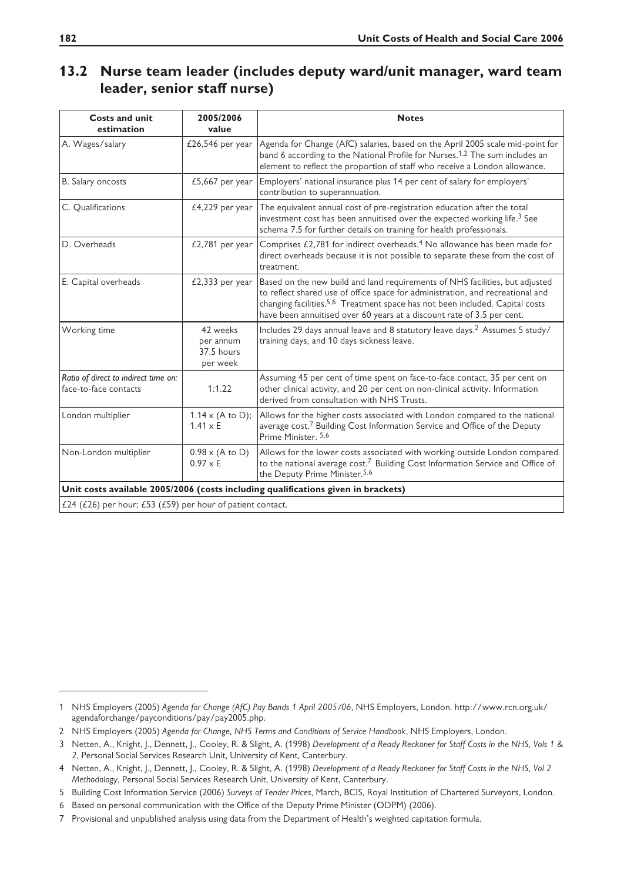#### **13.2 Nurse team leader (includes deputy ward/unit manager, ward team leader, senior staff nurse)**

| <b>Costs and unit</b><br>estimation                                               | 2005/2006<br>value                                  | <b>Notes</b>                                                                                                                                                                                                                                                                                                                         |  |  |
|-----------------------------------------------------------------------------------|-----------------------------------------------------|--------------------------------------------------------------------------------------------------------------------------------------------------------------------------------------------------------------------------------------------------------------------------------------------------------------------------------------|--|--|
| A. Wages/salary                                                                   | £26,546 per year                                    | Agenda for Change (AfC) salaries, based on the April 2005 scale mid-point for<br>band 6 according to the National Profile for Nurses. <sup>1,2</sup> The sum includes an<br>element to reflect the proportion of staff who receive a London allowance.                                                                               |  |  |
| B. Salary oncosts                                                                 | £5,667 per year                                     | Employers' national insurance plus 14 per cent of salary for employers'<br>contribution to superannuation.                                                                                                                                                                                                                           |  |  |
| C. Oualifications                                                                 | $£4,229$ per year                                   | The equivalent annual cost of pre-registration education after the total<br>investment cost has been annuitised over the expected working life. <sup>3</sup> See<br>schema 7.5 for further details on training for health professionals.                                                                                             |  |  |
| D. Overheads                                                                      | £2,781 per year                                     | Comprises £2,781 for indirect overheads. <sup>4</sup> No allowance has been made for<br>direct overheads because it is not possible to separate these from the cost of<br>treatment.                                                                                                                                                 |  |  |
| E. Capital overheads                                                              | $£2,333$ per year                                   | Based on the new build and land requirements of NHS facilities, but adjusted<br>to reflect shared use of office space for administration, and recreational and<br>changing facilities. <sup>5,6</sup> Treatment space has not been included. Capital costs<br>have been annuitised over 60 years at a discount rate of 3.5 per cent. |  |  |
| Working time                                                                      | 42 weeks<br>per annum<br>37.5 hours<br>per week     | Includes 29 days annual leave and 8 statutory leave days. <sup>2</sup> Assumes 5 study/<br>training days, and 10 days sickness leave.                                                                                                                                                                                                |  |  |
| Ratio of direct to indirect time on:<br>face-to-face contacts                     | 1:1.22                                              | Assuming 45 per cent of time spent on face-to-face contact, 35 per cent on<br>other clinical activity, and 20 per cent on non-clinical activity. Information<br>derived from consultation with NHS Trusts.                                                                                                                           |  |  |
| London multiplier                                                                 | $1.14 \times (A \text{ to } D);$<br>$1.41 \times E$ | Allows for the higher costs associated with London compared to the national<br>average cost. <sup>7</sup> Building Cost Information Service and Office of the Deputy<br>Prime Minister. 5,6                                                                                                                                          |  |  |
| Non-London multiplier                                                             | $0.98 \times (A \text{ to } D)$<br>$0.97 \times E$  | Allows for the lower costs associated with working outside London compared<br>to the national average cost. <sup>7</sup> Building Cost Information Service and Office of<br>the Deputy Prime Minister. <sup>5,6</sup>                                                                                                                |  |  |
| Unit costs available 2005/2006 (costs including qualifications given in brackets) |                                                     |                                                                                                                                                                                                                                                                                                                                      |  |  |
| £24 (£26) per hour; £53 (£59) per hour of patient contact.                        |                                                     |                                                                                                                                                                                                                                                                                                                                      |  |  |

<sup>1</sup> NHS Employers (2005) *Agenda for Change (AfC) Pay Bands 1 April 2005/06*, NHS Employers, London. http://www.rcn.org.uk/ agendaforchange/payconditions/pay/pay2005.php.

<sup>2</sup> NHS Employers (2005) *Agenda for Change, NHS Terms and Conditions of Service Handbook*, NHS Employers, London.

<sup>3</sup> Netten, A., Knight, J., Dennett, J., Cooley, R. & Slight, A. (1998) *Development of a Ready Reckoner for Staff Costs in the NHS, Vols 1 & 2*, Personal Social Services Research Unit, University of Kent, Canterbury.

<sup>4</sup> Netten, A., Knight, J., Dennett, J., Cooley, R. & Slight, A. (1998) *Development of a Ready Reckoner for Staff Costs in the NHS, Vol 2 Methodology*, Personal Social Services Research Unit, University of Kent, Canterbury.

<sup>5</sup> Building Cost Information Service (2006) *Surveys of Tender Prices*, March, BCIS, Royal Institution of Chartered Surveyors, London.

<sup>6</sup> Based on personal communication with the Office of the Deputy Prime Minister (ODPM) (2006).

<sup>7</sup> Provisional and unpublished analysis using data from the Department of Health's weighted capitation formula.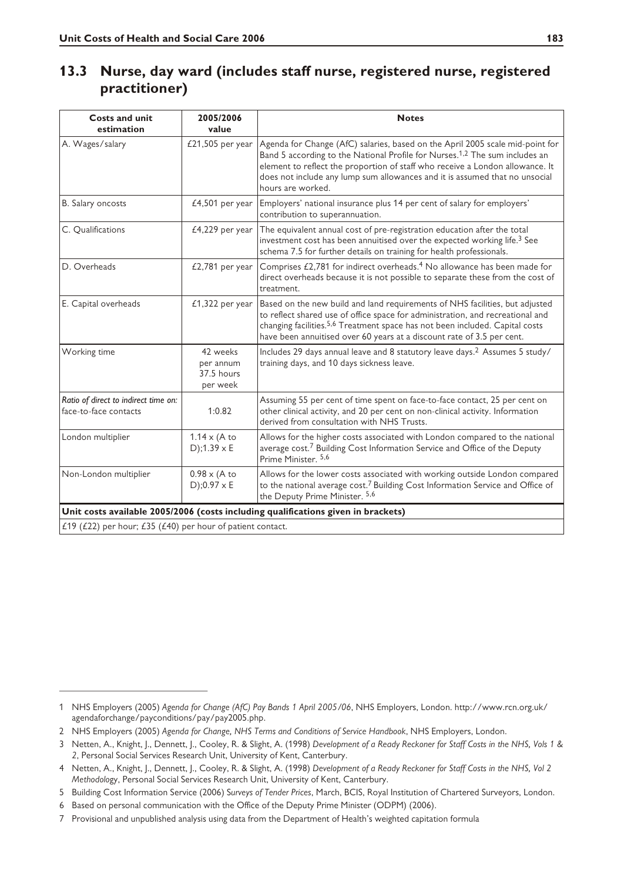#### **13.3 Nurse, day ward (includes staff nurse, registered nurse, registered practitioner)**

| <b>Costs and unit</b><br>estimation                                               | 2005/2006<br>value                                    | <b>Notes</b>                                                                                                                                                                                                                                                                                                                                                  |  |  |
|-----------------------------------------------------------------------------------|-------------------------------------------------------|---------------------------------------------------------------------------------------------------------------------------------------------------------------------------------------------------------------------------------------------------------------------------------------------------------------------------------------------------------------|--|--|
| A. Wages/salary                                                                   | £21,505 per year                                      | Agenda for Change (AfC) salaries, based on the April 2005 scale mid-point for<br>Band 5 according to the National Profile for Nurses. <sup>1,2</sup> The sum includes an<br>element to reflect the proportion of staff who receive a London allowance. It<br>does not include any lump sum allowances and it is assumed that no unsocial<br>hours are worked. |  |  |
| B. Salary oncosts                                                                 | $£4,501$ per year                                     | Employers' national insurance plus 14 per cent of salary for employers'<br>contribution to superannuation.                                                                                                                                                                                                                                                    |  |  |
| C. Qualifications                                                                 | £4,229 per year                                       | The equivalent annual cost of pre-registration education after the total<br>investment cost has been annuitised over the expected working life. <sup>3</sup> See<br>schema 7.5 for further details on training for health professionals.                                                                                                                      |  |  |
| D. Overheads                                                                      | £2,781 per year                                       | Comprises £2,781 for indirect overheads. <sup>4</sup> No allowance has been made for<br>direct overheads because it is not possible to separate these from the cost of<br>treatment.                                                                                                                                                                          |  |  |
| E. Capital overheads                                                              | $£1,322$ per year                                     | Based on the new build and land requirements of NHS facilities, but adjusted<br>to reflect shared use of office space for administration, and recreational and<br>changing facilities. <sup>5,6</sup> Treatment space has not been included. Capital costs<br>have been annuitised over 60 years at a discount rate of 3.5 per cent.                          |  |  |
| Working time                                                                      | 42 weeks<br>per annum<br>37.5 hours<br>per week       | Includes 29 days annual leave and 8 statutory leave days. <sup>2</sup> Assumes 5 study/<br>training days, and 10 days sickness leave.                                                                                                                                                                                                                         |  |  |
| Ratio of direct to indirect time on:<br>face-to-face contacts                     | 1:0.82                                                | Assuming 55 per cent of time spent on face-to-face contact, 25 per cent on<br>other clinical activity, and 20 per cent on non-clinical activity. Information<br>derived from consultation with NHS Trusts.                                                                                                                                                    |  |  |
| London multiplier                                                                 | $1.14 \times (A \text{ to }$<br>$D$ ; 1.39 $\times$ E | Allows for the higher costs associated with London compared to the national<br>average cost. <sup>7</sup> Building Cost Information Service and Office of the Deputy<br>Prime Minister, 5,6                                                                                                                                                                   |  |  |
| Non-London multiplier                                                             | $0.98 \times (A \text{ to }$<br>$D$ );0.97 $\times$ E | Allows for the lower costs associated with working outside London compared<br>to the national average cost. <sup>7</sup> Building Cost Information Service and Office of<br>the Deputy Prime Minister. 5,6                                                                                                                                                    |  |  |
| Unit costs available 2005/2006 (costs including qualifications given in brackets) |                                                       |                                                                                                                                                                                                                                                                                                                                                               |  |  |
| £19 (£22) per hour; £35 ( $£40$ ) per hour of patient contact.                    |                                                       |                                                                                                                                                                                                                                                                                                                                                               |  |  |

<sup>1</sup> NHS Employers (2005) *Agenda for Change (AfC) Pay Bands 1 April 2005/06*, NHS Employers, London. http://www.rcn.org.uk/ agendaforchange/payconditions/pay/pay2005.php.

<sup>2</sup> NHS Employers (2005) *Agenda for Change, NHS Terms and Conditions of Service Handbook*, NHS Employers, London.

<sup>3</sup> Netten, A., Knight, J., Dennett, J., Cooley, R. & Slight, A. (1998) *Development of a Ready Reckoner for Staff Costs in the NHS, Vols 1 & 2*, Personal Social Services Research Unit, University of Kent, Canterbury.

<sup>4</sup> Netten, A., Knight, J., Dennett, J., Cooley, R. & Slight, A. (1998) *Development of a Ready Reckoner for Staff Costs in the NHS, Vol 2 Methodolo*gy, Personal Social Services Research Unit, University of Kent, Canterbury.

<sup>5</sup> Building Cost Information Service (2006) S*urveys of Tender Prices*, March, BCIS, Royal Institution of Chartered Surveyors, London.

<sup>6</sup> Based on personal communication with the Office of the Deputy Prime Minister (ODPM) (2006).

<sup>7</sup> Provisional and unpublished analysis using data from the Department of Health's weighted capitation formula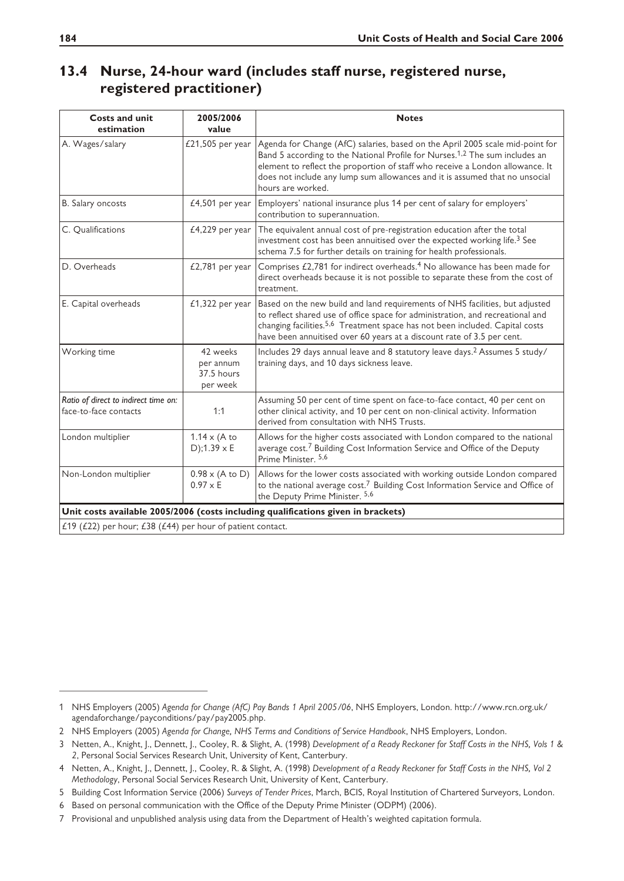## **13.4 Nurse, 24-hour ward (includes staff nurse, registered nurse, registered practitioner)**

| <b>Costs and unit</b><br>estimation                                               | 2005/2006<br>value                                 | <b>Notes</b>                                                                                                                                                                                                                                                                                                                                                  |  |  |
|-----------------------------------------------------------------------------------|----------------------------------------------------|---------------------------------------------------------------------------------------------------------------------------------------------------------------------------------------------------------------------------------------------------------------------------------------------------------------------------------------------------------------|--|--|
| A. Wages/salary                                                                   | £21,505 per year                                   | Agenda for Change (AfC) salaries, based on the April 2005 scale mid-point for<br>Band 5 according to the National Profile for Nurses. <sup>1,2</sup> The sum includes an<br>element to reflect the proportion of staff who receive a London allowance. It<br>does not include any lump sum allowances and it is assumed that no unsocial<br>hours are worked. |  |  |
| B. Salary oncosts                                                                 | $£4,501$ per year                                  | Employers' national insurance plus 14 per cent of salary for employers'<br>contribution to superannuation.                                                                                                                                                                                                                                                    |  |  |
| C. Qualifications                                                                 | $£4,229$ per year                                  | The equivalent annual cost of pre-registration education after the total<br>investment cost has been annuitised over the expected working life. <sup>3</sup> See<br>schema 7.5 for further details on training for health professionals.                                                                                                                      |  |  |
| D. Overheads                                                                      | $£2,781$ per year                                  | Comprises £2,781 for indirect overheads. <sup>4</sup> No allowance has been made for<br>direct overheads because it is not possible to separate these from the cost of<br>treatment.                                                                                                                                                                          |  |  |
| E. Capital overheads                                                              | $£1,322$ per year                                  | Based on the new build and land requirements of NHS facilities, but adjusted<br>to reflect shared use of office space for administration, and recreational and<br>changing facilities. <sup>5,6</sup> Treatment space has not been included. Capital costs<br>have been annuitised over 60 years at a discount rate of 3.5 per cent.                          |  |  |
| Working time                                                                      | 42 weeks<br>per annum<br>37.5 hours<br>per week    | Includes 29 days annual leave and 8 statutory leave days. <sup>2</sup> Assumes 5 study/<br>training days, and 10 days sickness leave.                                                                                                                                                                                                                         |  |  |
| Ratio of direct to indirect time on:<br>face-to-face contacts                     | 1:1                                                | Assuming 50 per cent of time spent on face-to-face contact, 40 per cent on<br>other clinical activity, and 10 per cent on non-clinical activity. Information<br>derived from consultation with NHS Trusts.                                                                                                                                                    |  |  |
| London multiplier                                                                 | $1.14 \times (A \text{ to }$<br>D);1.39 $\times$ E | Allows for the higher costs associated with London compared to the national<br>average cost. <sup>7</sup> Building Cost Information Service and Office of the Deputy<br>Prime Minister, 5,6                                                                                                                                                                   |  |  |
| Non-London multiplier                                                             | $0.98 \times (A \text{ to } D)$<br>$0.97 \times E$ | Allows for the lower costs associated with working outside London compared<br>to the national average cost. <sup>7</sup> Building Cost Information Service and Office of<br>the Deputy Prime Minister. 5,6                                                                                                                                                    |  |  |
| Unit costs available 2005/2006 (costs including qualifications given in brackets) |                                                    |                                                                                                                                                                                                                                                                                                                                                               |  |  |
| £19 (£22) per hour; £38 ( $£44$ ) per hour of patient contact.                    |                                                    |                                                                                                                                                                                                                                                                                                                                                               |  |  |

<sup>1</sup> NHS Employers (2005) *Agenda for Change (AfC) Pay Bands 1 April 2005/06*, NHS Employers, London. http://www.rcn.org.uk/ agendaforchange/payconditions/pay/pay2005.php.

<sup>2</sup> NHS Employers (2005) *Agenda for Change, NHS Terms and Conditions of Service Handbook*, NHS Employers, London.

<sup>3</sup> Netten, A., Knight, J., Dennett, J., Cooley, R. & Slight, A. (1998) *Development of a Ready Reckoner for Staff Costs in the NHS, Vols 1 & 2*, Personal Social Services Research Unit, University of Kent, Canterbury.

<sup>4</sup> Netten, A., Knight, J., Dennett, J., Cooley, R. & Slight, A. (1998) *Development of a Ready Reckoner for Staff Costs in the NHS, Vol 2 Methodology*, Personal Social Services Research Unit, University of Kent, Canterbury.

<sup>5</sup> Building Cost Information Service (2006) *Surveys of Tender Prices*, March, BCIS, Royal Institution of Chartered Surveyors, London.

<sup>6</sup> Based on personal communication with the Office of the Deputy Prime Minister (ODPM) (2006).

<sup>7</sup> Provisional and unpublished analysis using data from the Department of Health's weighted capitation formula.